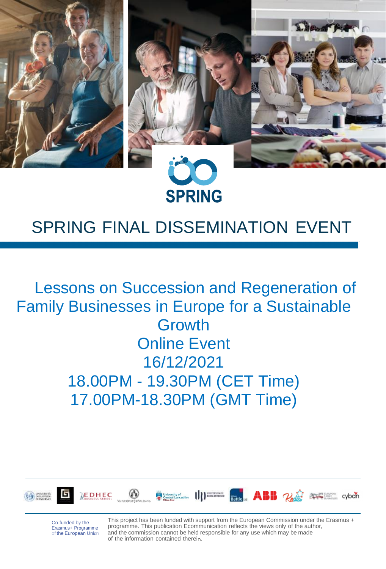

# SPRING FINAL DISSEMINATION EVENT

# Lessons on Succession and Regeneration of Family Businesses in Europe for a Sustainable Growth Online Event 16/12/2021 18.00PM - 19.30PM (CET Time) 17.00PM-18.30PM (GMT Time)











Co-funded by the Erasmus+ Programme<br>of the European Union This project has been funded with support from the European Commission under the Erasmus + programme. This publication Ecommunication reflects the views only of the author, and the commission cannot be held responsible for any use which may be made of the information contained therein.

cyban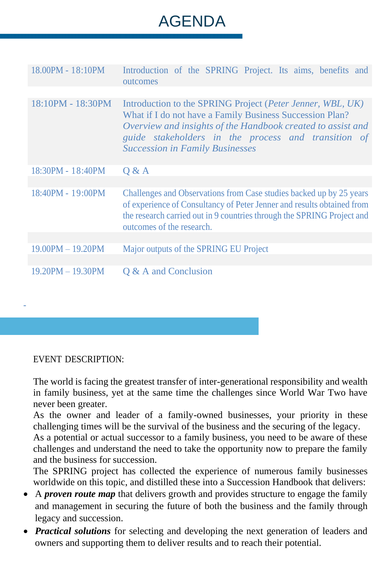# AGENDA

| 18.00PM - 18:10PM       | Introduction of the SPRING Project. Its aims, benefits and<br>outcomes                                                                                                                                                                                                                 |
|-------------------------|----------------------------------------------------------------------------------------------------------------------------------------------------------------------------------------------------------------------------------------------------------------------------------------|
|                         |                                                                                                                                                                                                                                                                                        |
| 18:10PM - 18:30PM       | Introduction to the SPRING Project (Peter Jenner, WBL, UK)<br>What if I do not have a Family Business Succession Plan?<br>Overview and insights of the Handbook created to assist and<br>guide stakeholders in the process and transition of<br><b>Succession in Family Businesses</b> |
| 18:30PM - 18:40PM       | Q & A                                                                                                                                                                                                                                                                                  |
|                         |                                                                                                                                                                                                                                                                                        |
| 18:40PM - 19:00PM       | Challenges and Observations from Case studies backed up by 25 years<br>of experience of Consultancy of Peter Jenner and results obtained from<br>the research carried out in 9 countries through the SPRING Project and<br>outcomes of the research.                                   |
|                         |                                                                                                                                                                                                                                                                                        |
| $19.00$ PM $- 19.20$ PM | Major outputs of the SPRING EU Project                                                                                                                                                                                                                                                 |
|                         |                                                                                                                                                                                                                                                                                        |
| $19.20PM - 19.30PM$     | Q & A and Conclusion                                                                                                                                                                                                                                                                   |

EVENT DESCRIPTION:

-

The world is facing the greatest transfer of inter-generational responsibility and wealth in family business, yet at the same time the challenges since World War Two have never been greater.

As the owner and leader of a family-owned businesses, your priority in these challenging times will be the survival of the business and the securing of the legacy.

As a potential or actual successor to a family business, you need to be aware of these challenges and understand the need to take the opportunity now to prepare the family and the business for succession.

The SPRING project has collected the experience of numerous family businesses worldwide on this topic, and distilled these into a Succession Handbook that delivers:

- A *proven route map* that delivers growth and provides structure to engage the family and management in securing the future of both the business and the family through legacy and succession.
- *Practical solutions* for selecting and developing the next generation of leaders and owners and supporting them to deliver results and to reach their potential.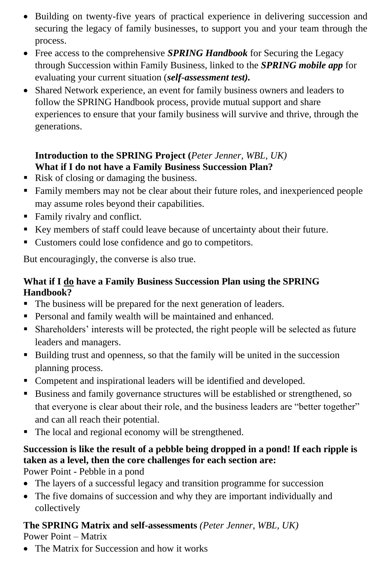- Building on twenty-five years of practical experience in delivering succession and securing the legacy of family businesses, to support you and your team through the process.
- Free access to the comprehensive *SPRING Handbook* for Securing the Legacy through Succession within Family Business, linked to the *SPRING mobile app* for evaluating your current situation (*self-assessment test).*
- Shared Network experience, an event for family business owners and leaders to follow the SPRING Handbook process, provide mutual support and share experiences to ensure that your family business will survive and thrive, through the generations.

#### **Introduction to the SPRING Project (***Peter Jenner, WBL, UK)* **What if I do not have a Family Business Succession Plan?**

- Risk of closing or damaging the business.
- Family members may not be clear about their future roles, and inexperienced people may assume roles beyond their capabilities.
- Family rivalry and conflict.
- Key members of staff could leave because of uncertainty about their future.
- Customers could lose confidence and go to competitors.

But encouragingly, the converse is also true.

#### **What if I do have a Family Business Succession Plan using the SPRING Handbook?**

- The business will be prepared for the next generation of leaders.
- Personal and family wealth will be maintained and enhanced.
- Shareholders' interests will be protected, the right people will be selected as future leaders and managers.
- Building trust and openness, so that the family will be united in the succession planning process.
- Competent and inspirational leaders will be identified and developed.
- Business and family governance structures will be established or strengthened, so that everyone is clear about their role, and the business leaders are "better together" and can all reach their potential.
- The local and regional economy will be strengthened.

## **Succession is like the result of a pebble being dropped in a pond! If each ripple is taken as a level, then the core challenges for each section are:**

Power Point - Pebble in a pond

- The layers of a successful legacy and transition programme for succession
- The five domains of succession and why they are important individually and collectively

### **The SPRING Matrix and self-assessments** *(Peter Jenner, WBL, UK)*

Power Point – Matrix

• The Matrix for Succession and how it works